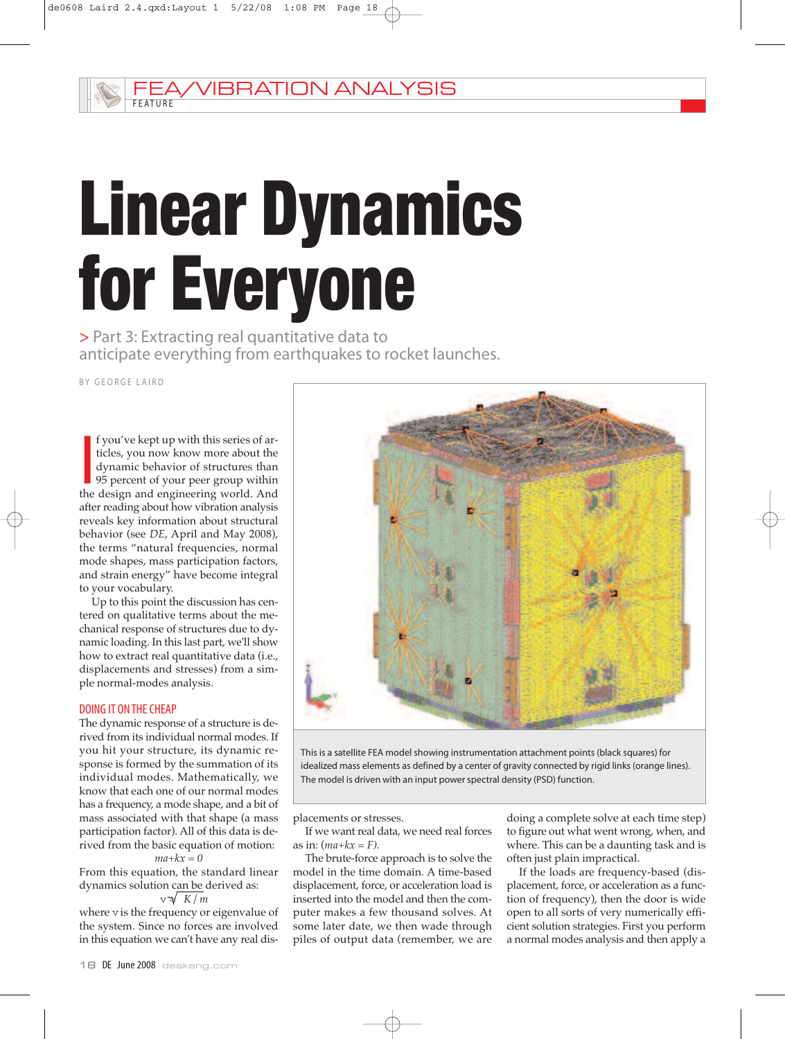# Linear Dynamics for Everyone

> Part 3: Extracting real quantitative data to anticipate everything from earthquakes to rocket launches.

BY GEORGE LAIRD

I f you've kept up with this series of articles, you now know more about the dynamic behavior of structures than 95 percent of your peer group within the design and engineering world. And f you've kept up with this series of articles, you now know more about the dynamic behavior of structures than 95 percent of your peer group within after reading about how vibration analysis reveals key information about structural behavior (see *DE*, April and May 2008), the terms "natural frequencies, normal mode shapes, mass participation factors, and strain energy" have become integral to your vocabulary.

Up to this point the discussion has centered on qualitative terms about the mechanical response of structures due to dynamic loading. In this last part, we'll show how to extract real quantitative data (i.e., displacements and stresses) from a simple normal-modes analysis.

### DOING IT ONTHECHEAP

The dynamic response of a structure is derived from its individual normal modes. If you hit your structure, its dynamic response is formed by the summation of its individual modes. Mathematically, we know that each one of our normal modes has a frequency, a mode shape, and a bit of mass associated with that shape (a mass participation factor). All of this data is derived from the basic equation of motion:

$$
ma+kx=0
$$

From this equation, the standard linear dynamics solution can be derived as:

 $v \sqrt{K/m}$ 

where v is the frequency or eigenvalue of the system. Since no forces are involved in this equation we can't have any real dis-



This is a satellite FEA model showing instrumentation attachment points (black squares) for idealized mass elements as defined by a center of gravity connected by rigid links (orange lines). The model is driven with an input power spectral density (PSD) function.

placements or stresses.

If we want real data, we need real forces as in:  $(max+kx = F)$ .

The brute-force approach is to solve the model in the time domain. A time-based displacement, force, or acceleration load is inserted into the model and then the computer makes a few thousand solves. At some later date, we then wade through piles of output data (remember, we are

doing a complete solve at each time step) to figure out what went wrong, when, and where. This can be a daunting task and is often just plain impractical.

If the loads are frequency-based (displacement, force, or acceleration as a function of frequency), then the door is wide open to all sorts of very numerically efficient solution strategies. First you perform a normal modes analysis and then apply a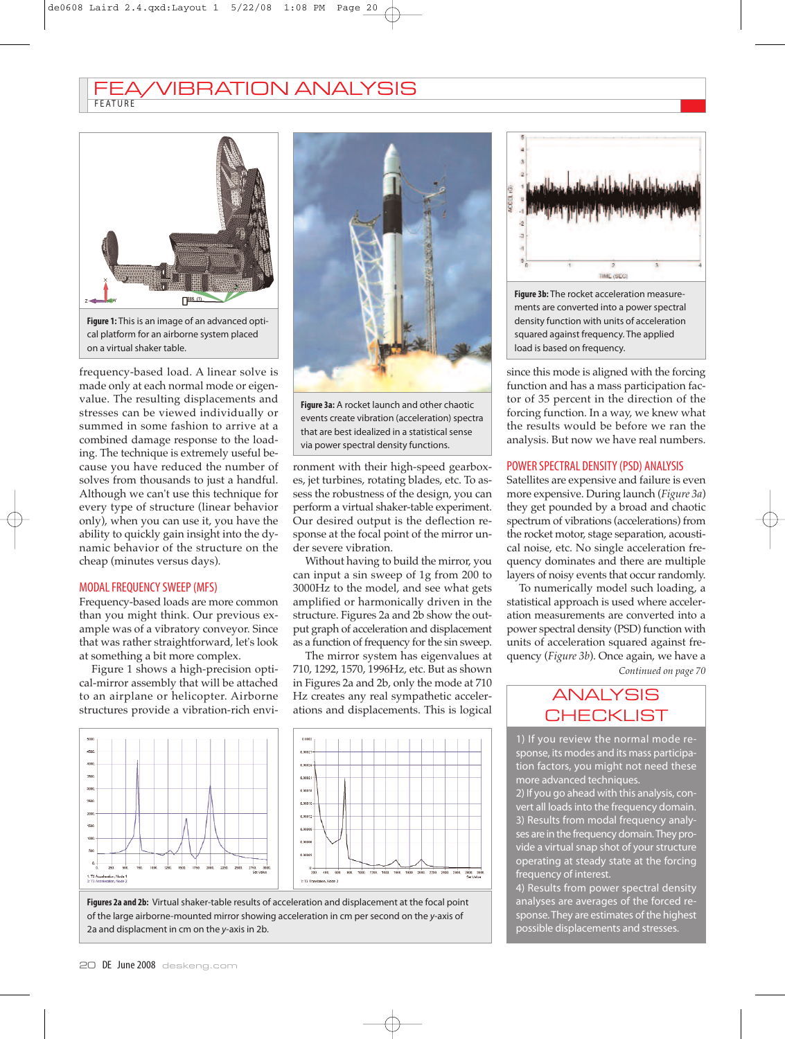## F E AT U R E VIBRATION ANALYSIS



**Figure 1:** This is an image of an advanced optical platform for an airborne system placed on a virtual shaker table.

frequency-based load. A linear solve is made only at each normal mode or eigenvalue. The resulting displacements and stresses can be viewed individually or summed in some fashion to arrive at a combined damage response to the loading. The technique is extremely useful because you have reduced the number of solves from thousands to just a handful. Although we can't use this technique for every type of structure (linear behavior only), when you can use it, you have the ability to quickly gain insight into the dynamic behavior of the structure on the cheap (minutes versus days).

### MODAL FREQUENCY SWEEP (MFS)

Frequency-based loads are more common than you might think. Our previous example was of a vibratory conveyor. Since that was rather straightforward, let's look at something a bit more complex.

Figure 1 shows a high-precision optical-mirror assembly that will be attached to an airplane or helicopter. Airborne structures provide a vibration-rich envi-



**Figure 3a:** A rocket launch and other chaotic events create vibration (acceleration) spectra that are best idealized in a statistical sense via power spectral density functions.

ronment with their high-speed gearboxes, jet turbines, rotating blades, etc. To assess the robustness of the design, you can perform a virtual shaker-table experiment. Our desired output is the deflection response at the focal point of the mirror under severe vibration.

Without having to build the mirror, you can input a sin sweep of 1g from 200 to 3000Hz to the model, and see what gets amplified or harmonically driven in the structure. Figures 2a and 2b show the output graph of acceleration and displacement as a function of frequency for the sin sweep.

The mirror system has eigenvalues at 710, 1292, 1570, 1996Hz, etc. But as shown in Figures 2a and 2b, only the mode at 710 Hz creates any real sympathetic accelerations and displacements. This is logical







**Figure 3b:** The rocket acceleration measurements are converted into a power spectral density function with units of acceleration squared against frequency. The applied load is based on frequency.

since this mode is aligned with the forcing function and has a mass participation factor of 35 percent in the direction of the forcing function. In a way, we knew what the results would be before we ran the analysis. But now we have real numbers.

### POWER SPECTRAL DENSITY(PSD) ANALYSIS

Satellites are expensive and failure is even more expensive. During launch (*Figure 3a*) they get pounded by a broad and chaotic spectrum of vibrations (accelerations) from the rocket motor, stage separation, acoustical noise, etc. No single acceleration frequency dominates and there are multiple layers of noisy events that occur randomly.

To numerically model such loading, a statistical approach is used where acceleration measurements are converted into a power spectral density (PSD) function with units of acceleration squared against frequency (*Figure 3b*). Once again, we have a *Continued on page 70*

# ANALYSIS **CHECKLIST**

1) If you review the normal mode response, its modes and its mass participation factors, you might not need these more advanced techniques.

2) If you go ahead with this analysis, convert all loads into the frequency domain. 3) Results from modal frequency analyses are in the frequency domain.They provide a virtual snap shot of your structure operating at steady state at the forcing frequency of interest.

4) Results from power spectral density analyses are averages of the forced response. They are estimates of the highest possible displacements and stresses.